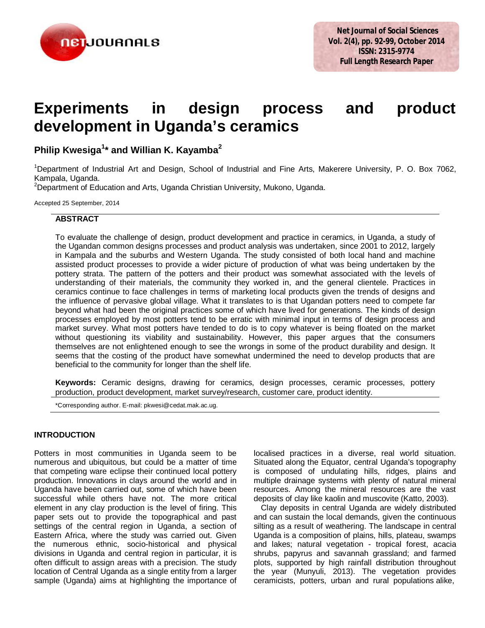

# **Experiments in design process and product development in Uganda's ceramics**

**Philip Kwesiga<sup>1</sup> \* and Willian K. Kayamba<sup>2</sup>**

<sup>1</sup>Department of Industrial Art and Design, School of Industrial and Fine Arts, Makerere University, P. O. Box 7062, Kampala, Uganda.

<sup>2</sup>Department of Education and Arts, Uganda Christian University, Mukono, Uganda.

Accepted 25 September, 2014

# **ABSTRACT**

To evaluate the challenge of design, product development and practice in ceramics, in Uganda, a study of the Ugandan common designs processes and product analysis was undertaken, since 2001 to 2012, largely in Kampala and the suburbs and Western Uganda. The study consisted of both local hand and machine assisted product processes to provide a wider picture of production of what was being undertaken by the pottery strata. The pattern of the potters and their product was somewhat associated with the levels of understanding of their materials, the community they worked in, and the general clientele. Practices in ceramics continue to face challenges in terms of marketing local products given the trends of designs and the influence of pervasive global village. What it translates to is that Ugandan potters need to compete far beyond what had been the original practices some of which have lived for generations. The kinds of design processes employed by most potters tend to be erratic with minimal input in terms of design process and market survey. What most potters have tended to do is to copy whatever is being floated on the market without questioning its viability and sustainability. However, this paper argues that the consumers themselves are not enlightened enough to see the wrongs in some of the product durability and design. It seems that the costing of the product have somewhat undermined the need to develop products that are beneficial to the community for longer than the shelf life.

**Keywords:** Ceramic designs, drawing for ceramics, design processes, ceramic processes, pottery production, product development, market survey/research, customer care, product identity.

\*Corresponding author. E-mail: pkwesi@cedat.mak.ac.ug.

# **INTRODUCTION**

Potters in most communities in Uganda seem to be numerous and ubiquitous, but could be a matter of time that competing ware eclipse their continued local pottery production. Innovations in clays around the world and in Uganda have been carried out, some of which have been successful while others have not. The more critical element in any clay production is the level of firing. This paper sets out to provide the topographical and past settings of the central region in Uganda, a section of Eastern Africa, where the study was carried out. Given the numerous ethnic, socio-historical and physical divisions in Uganda and central region in particular, it is often difficult to assign areas with a precision. The study location of Central Uganda as a single entity from a larger sample (Uganda) aims at highlighting the importance of

localised practices in a diverse, real world situation. Situated along the Equator, central Uganda's topography is composed of undulating hills, ridges, plains and multiple drainage systems with plenty of natural mineral resources. Among the mineral resources are the vast deposits of clay like kaolin and muscovite (Katto, 2003).

Clay deposits in central Uganda are widely distributed and can sustain the local demands, given the continuous silting as a result of weathering. The landscape in central Uganda is a composition of plains, hills, plateau, swamps and lakes; natural vegetation - tropical forest, acacia shrubs, papyrus and savannah grassland; and farmed plots, supported by high rainfall distribution throughout the year (Munyuli, 2013). The vegetation provides ceramicists, potters, urban and rural populations alike,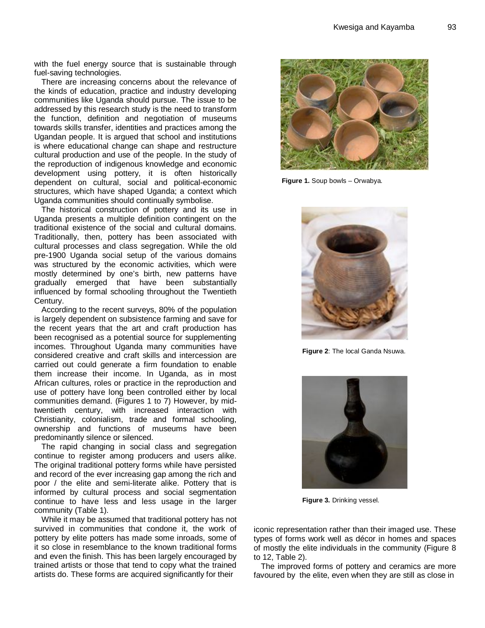with the fuel energy source that is sustainable through fuel-saving technologies.

There are increasing concerns about the relevance of the kinds of education, practice and industry developing communities like Uganda should pursue. The issue to be addressed by this research study is the need to transform the function, definition and negotiation of museums towards skills transfer, identities and practices among the Ugandan people. It is argued that school and institutions is where educational change can shape and restructure cultural production and use of the people. In the study of the reproduction of indigenous knowledge and economic development using pottery, it is often historically dependent on cultural, social and political-economic structures, which have shaped Uganda; a context which Uganda communities should continually symbolise.

The historical construction of pottery and its use in Uganda presents a multiple definition contingent on the traditional existence of the social and cultural domains. Traditionally, then, pottery has been associated with cultural processes and class segregation. While the old pre-1900 Uganda social setup of the various domains was structured by the economic activities, which were mostly determined by one's birth, new patterns have gradually emerged that have been substantially influenced by formal schooling throughout the Twentieth Century.

According to the recent surveys, 80% of the population is largely dependent on subsistence farming and save for the recent years that the art and craft production has been recognised as a potential source for supplementing incomes. Throughout Uganda many communities have considered creative and craft skills and intercession are carried out could generate a firm foundation to enable them increase their income. In Uganda, as in most African cultures, roles or practice in the reproduction and use of pottery have long been controlled either by local communities demand. (Figures 1 to 7) However, by midtwentieth century, with increased interaction with Christianity, colonialism, trade and formal schooling, ownership and functions of museums have been predominantly silence or silenced.

The rapid changing in social class and segregation continue to register among producers and users alike. The original traditional pottery forms while have persisted and record of the ever increasing gap among the rich and poor / the elite and semi-literate alike. Pottery that is informed by cultural process and social segmentation continue to have less and less usage in the larger community (Table 1).

While it may be assumed that traditional pottery has not survived in communities that condone it, the work of pottery by elite potters has made some inroads, some of it so close in resemblance to the known traditional forms and even the finish. This has been largely encouraged by trained artists or those that tend to copy what the trained artists do. These forms are acquired significantly for their



**Figure 1.** Soup bowls – Orwabya.



 **Figure 2**: The local Ganda Nsuwa.



 **Figure 3.** Drinking vessel.

iconic representation rather than their imaged use. These types of forms work well as décor in homes and spaces of mostly the elite individuals in the community (Figure 8 to 12, Table 2).

The improved forms of pottery and ceramics are more favoured by the elite, even when they are still as close in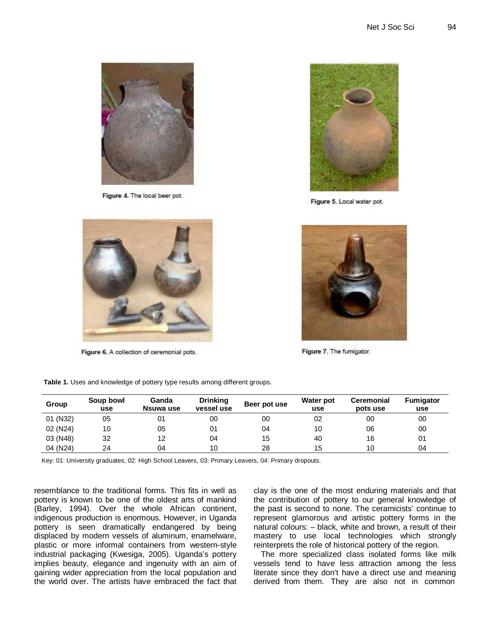

Figure 4. The local beer pot.



Figure 5. Local water pot.



Figure 6. A collection of ceremonial pots.



Figure 7. The fumigator.

| Group    | Soup bowl<br>use | Ganda<br>Nsuwa use | <b>Drinking</b><br>vessel use | Beer pot use | Water pot<br>use | <b>Ceremonial</b><br>pots use | <b>Fumigator</b><br>use |
|----------|------------------|--------------------|-------------------------------|--------------|------------------|-------------------------------|-------------------------|
| 01 (N32) | 05               | 01                 | 00                            | 00           | 02               | 00                            | 00                      |
| 02 (N24) | 10               | 05                 | 01                            | 04           | 10               | 06                            | 00                      |
| 03 (N48) | 32               | 12                 | 04                            | 15           | 40               | 16                            | 01                      |
| 04 (N24) | 24               | 04                 | 10                            | 28           | 15               | 10                            | 04                      |

 **Table 1.** Uses and knowledge of pottery type results among different groups.

Key: 01: University graduates, 02: High School Leavers, 03: Primary Leavers, 04: Primary dropouts.

resemblance to the traditional forms. This fits in well as pottery is known to be one of the oldest arts of mankind (Barley, 1994). Over the whole African continent, indigenous production is enormous. However, in Uganda pottery is seen dramatically endangered by being displaced by modern vessels of aluminum, enamelware, plastic or more informal containers from western-style industrial packaging (Kwesiga, 2005). Uganda's pottery implies beauty, elegance and ingenuity with an aim of gaining wider appreciation from the local population and the world over. The artists have embraced the fact that clay is the one of the most enduring materials and that the contribution of pottery to our general knowledge of the past is second to none. The ceramicists' continue to represent glamorous and artistic pottery forms in the natural colours: – black, white and brown, a result of their mastery to use local technologies which strongly reinterprets the role of historical pottery of the region.

The more specialized class isolated forms like milk vessels tend to have less attraction among the less literate since they don't have a direct use and meaning derived from them. They are also not in common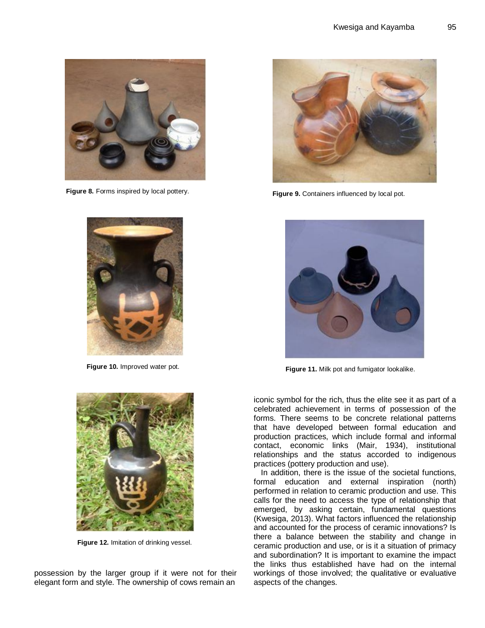

 **Figure 8.** Forms inspired by local pottery.



**Figure 10.** Improved water pot.



**Figure 9.** Containers influenced by local pot.



 **Figure 11.** Milk pot and fumigator lookalike.



 **Figure 12.** Imitation of drinking vessel.

possession by the larger group if it were not for their elegant form and style. The ownership of cows remain an

iconic symbol for the rich, thus the elite see it as part of a celebrated achievement in terms of possession of the forms. There seems to be concrete relational patterns that have developed between formal education and production practices, which include formal and informal contact, economic links (Mair, 1934), institutional relationships and the status accorded to indigenous practices (pottery production and use).

In addition, there is the issue of the societal functions, formal education and external inspiration (north) performed in relation to ceramic production and use. This calls for the need to access the type of relationship that emerged, by asking certain, fundamental questions (Kwesiga, 2013). What factors influenced the relationship and accounted for the process of ceramic innovations? Is there a balance between the stability and change in ceramic production and use, or is it a situation of primacy and subordination? It is important to examine the impact the links thus established have had on the internal workings of those involved; the qualitative or evaluative aspects of the changes.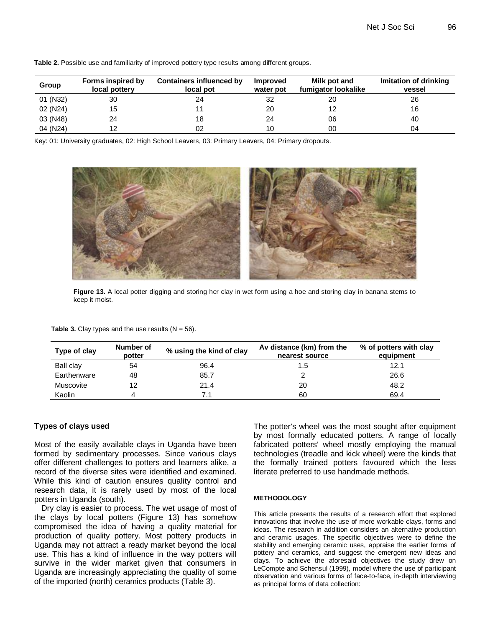| Group                 | Forms inspired by<br>local pottery | Containers influenced by<br>local pot | Improved<br>water pot | Milk pot and<br>fumigator lookalike | Imitation of drinking<br>vessel |
|-----------------------|------------------------------------|---------------------------------------|-----------------------|-------------------------------------|---------------------------------|
| 01 (N32)              | 30                                 | 24                                    | 32                    | 20                                  | 26                              |
| 02 (N <sub>24</sub> ) | 15                                 |                                       | 20                    |                                     | 16                              |
| 03 (N48)              | 24                                 | 18                                    | 24                    | 06                                  | 40                              |
| 04 (N <sub>24</sub> ) | ィつ                                 | 02                                    | 10                    | 00                                  | 04                              |

**Table 2.** Possible use and familiarity of improved pottery type results among different groups.

Key: 01: University graduates, 02: High School Leavers, 03: Primary Leavers, 04: Primary dropouts.



**Figure 13.** A local potter digging and storing her clay in wet form using a hoe and storing clay in banana stems to keep it moist.

**Table 3.** Clay types and the use results  $(N = 56)$ .

| Type of clay | Number of<br>potter | % using the kind of clay | Av distance (km) from the<br>nearest source | % of potters with clay<br>equipment |
|--------------|---------------------|--------------------------|---------------------------------------------|-------------------------------------|
| Ball clay    | 54                  | 96.4                     | 1.5                                         | 12.1                                |
| Earthenware  | 48                  | 85.7                     |                                             | 26.6                                |
| Muscovite    | 12                  | 21.4                     | 20                                          | 48.2                                |
| Kaolin       |                     | 71                       | 60                                          | 69.4                                |

# **Types of clays used**

Most of the easily available clays in Uganda have been formed by sedimentary processes. Since various clays offer different challenges to potters and learners alike, a record of the diverse sites were identified and examined. While this kind of caution ensures quality control and research data, it is rarely used by most of the local potters in Uganda (south).

Dry clay is easier to process. The wet usage of most of the clays by local potters (Figure 13) has somehow compromised the idea of having a quality material for production of quality pottery. Most pottery products in Uganda may not attract a ready market beyond the local use. This has a kind of influence in the way potters will survive in the wider market given that consumers in Uganda are increasingly appreciating the quality of some of the imported (north) ceramics products (Table 3).

The potter's wheel was the most sought after equipment by most formally educated potters. A range of locally fabricated potters' wheel mostly employing the manual technologies (treadle and kick wheel) were the kinds that the formally trained potters favoured which the less literate preferred to use handmade methods.

#### **METHODOLOGY**

This article presents the results of a research effort that explored innovations that involve the use of more workable clays, forms and ideas. The research in addition considers an alternative production and ceramic usages. The specific objectives were to define the stability and emerging ceramic uses, appraise the earlier forms of pottery and ceramics, and suggest the emergent new ideas and clays. To achieve the aforesaid objectives the study drew on LeCompte and Schensul (1999), model where the use of participant observation and various forms of face-to-face, in-depth interviewing as principal forms of data collection: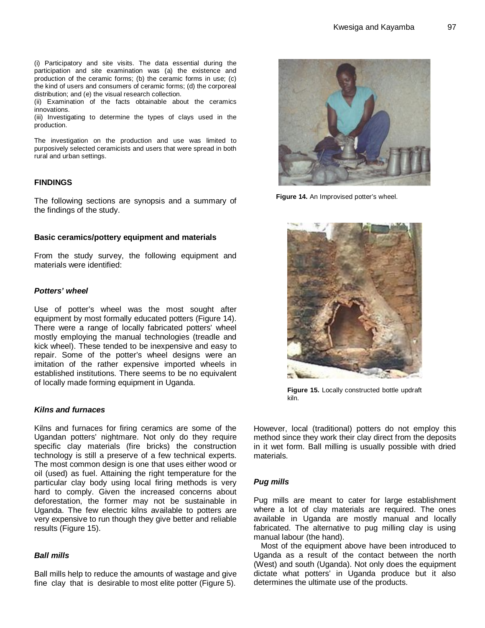(i) Participatory and site visits. The data essential during the participation and site examination was (a) the existence and production of the ceramic forms; (b) the ceramic forms in use; (c) the kind of users and consumers of ceramic forms; (d) the corporeal distribution; and (e) the visual research collection.

(ii) Examination of the facts obtainable about the ceramics innovations.

(iii) Investigating to determine the types of clays used in the production.

The investigation on the production and use was limited to purposively selected ceramicists and users that were spread in both rural and urban settings.

# **FINDINGS**

The following sections are synopsis and a summary of the findings of the study.

#### **Basic ceramics/pottery equipment and materials**

From the study survey, the following equipment and materials were identified:

#### *Potters' wheel*

Use of potter's wheel was the most sought after equipment by most formally educated potters (Figure 14). There were a range of locally fabricated potters' wheel mostly employing the manual technologies (treadle and kick wheel). These tended to be inexpensive and easy to repair. Some of the potter's wheel designs were an imitation of the rather expensive imported wheels in established institutions. There seems to be no equivalent of locally made forming equipment in Uganda.

## *Kilns and furnaces*

Kilns and furnaces for firing ceramics are some of the Ugandan potters' nightmare. Not only do they require specific clay materials (fire bricks) the construction technology is still a preserve of a few technical experts. The most common design is one that uses either wood or oil (used) as fuel. Attaining the right temperature for the particular clay body using local firing methods is very hard to comply. Given the increased concerns about deforestation, the former may not be sustainable in Uganda. The few electric kilns available to potters are very expensive to run though they give better and reliable results (Figure 15).

#### *Ball mills*

Ball mills help to reduce the amounts of wastage and give fine clay that is desirable to most elite potter (Figure 5).



**Figure 14.** An Improvised potter's wheel.



**Figure 15.** Locally constructed bottle updraft kiln.

However, local (traditional) potters do not employ this method since they work their clay direct from the deposits in it wet form. Ball milling is usually possible with dried materials.

#### *Pug mills*

Pug mills are meant to cater for large establishment where a lot of clay materials are required. The ones available in Uganda are mostly manual and locally fabricated. The alternative to pug milling clay is using manual labour (the hand).

Most of the equipment above have been introduced to Uganda as a result of the contact between the north (West) and south (Uganda). Not only does the equipment dictate what potters' in Uganda produce but it also determines the ultimate use of the products.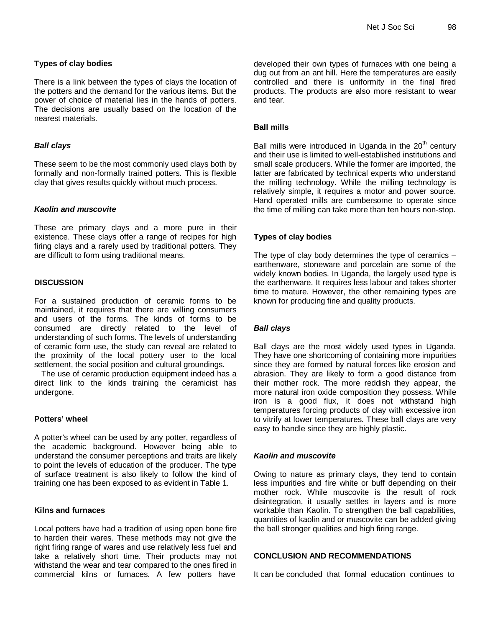# **Types of clay bodies**

There is a link between the types of clays the location of the potters and the demand for the various items. But the power of choice of material lies in the hands of potters. The decisions are usually based on the location of the nearest materials.

# *Ball clays*

These seem to be the most commonly used clays both by formally and non-formally trained potters. This is flexible clay that gives results quickly without much process.

## *Kaolin and muscovite*

These are primary clays and a more pure in their existence. These clays offer a range of recipes for high firing clays and a rarely used by traditional potters. They are difficult to form using traditional means.

# **DISCUSSION**

For a sustained production of ceramic forms to be maintained, it requires that there are willing consumers and users of the forms. The kinds of forms to be consumed are directly related to the level of understanding of such forms. The levels of understanding of ceramic form use, the study can reveal are related to the proximity of the local pottery user to the local settlement, the social position and cultural groundings.

The use of ceramic production equipment indeed has a direct link to the kinds training the ceramicist has undergone.

## **Potters' wheel**

A potter's wheel can be used by any potter, regardless of the academic background. However being able to understand the consumer perceptions and traits are likely to point the levels of education of the producer. The type of surface treatment is also likely to follow the kind of training one has been exposed to as evident in Table 1.

# **Kilns and furnaces**

Local potters have had a tradition of using open bone fire to harden their wares. These methods may not give the right firing range of wares and use relatively less fuel and take a relatively short time. Their products may not withstand the wear and tear compared to the ones fired in commercial kilns or furnaces. A few potters have

developed their own types of furnaces with one being a dug out from an ant hill. Here the temperatures are easily controlled and there is uniformity in the final fired products. The products are also more resistant to wear and tear.

## **Ball mills**

Ball mills were introduced in Uganda in the  $20<sup>th</sup>$  century and their use is limited to well-established institutions and small scale producers. While the former are imported, the latter are fabricated by technical experts who understand the milling technology. While the milling technology is relatively simple, it requires a motor and power source. Hand operated mills are cumbersome to operate since the time of milling can take more than ten hours non-stop.

# **Types of clay bodies**

The type of clay body determines the type of ceramics – earthenware, stoneware and porcelain are some of the widely known bodies. In Uganda, the largely used type is the earthenware. It requires less labour and takes shorter time to mature. However, the other remaining types are known for producing fine and quality products.

# *Ball clays*

Ball clays are the most widely used types in Uganda. They have one shortcoming of containing more impurities since they are formed by natural forces like erosion and abrasion. They are likely to form a good distance from their mother rock. The more reddish they appear, the more natural iron oxide composition they possess. While iron is a good flux, it does not withstand high temperatures forcing products of clay with excessive iron to vitrify at lower temperatures. These ball clays are very easy to handle since they are highly plastic.

# *Kaolin and muscovite*

Owing to nature as primary clays, they tend to contain less impurities and fire white or buff depending on their mother rock. While muscovite is the result of rock disintegration, it usually settles in layers and is more workable than Kaolin. To strengthen the ball capabilities, quantities of kaolin and or muscovite can be added giving the ball stronger qualities and high firing range.

## **CONCLUSION AND RECOMMENDATIONS**

It can be concluded that formal education continues to